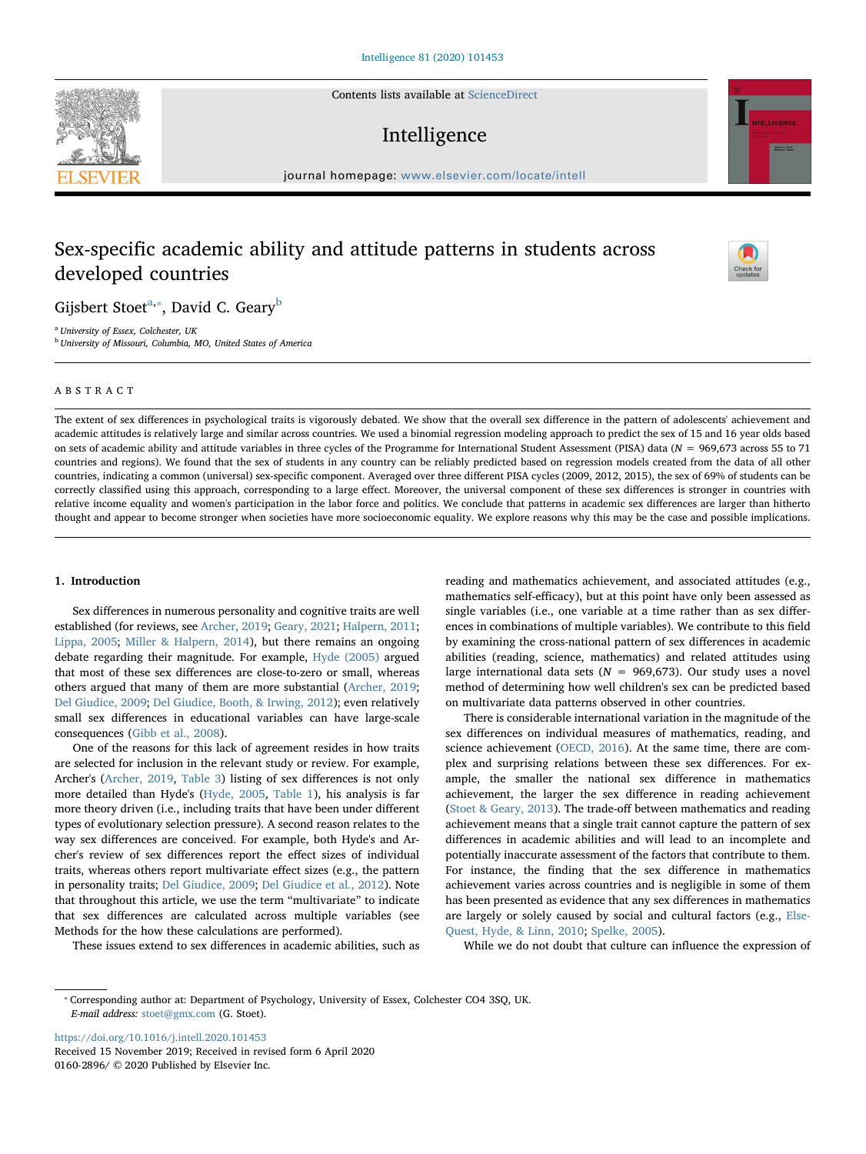Contents lists available at [ScienceDirect](http://www.sciencedirect.com/science/journal/01602896)

# Intelligence

journal homepage: [www.elsevier.com/locate/intell](https://www.elsevier.com/locate/intell)

# Sex-specific academic ability and attitude patterns in students across developed countries

Gijsbert Stoet<sup>[a](#page-0-0),</sup>\*, David C. Geary<sup>[b](#page-0-2)</sup>

<span id="page-0-0"></span><sup>a</sup> University of Essex, Colchester, UK

<span id="page-0-2"></span><sup>b</sup> University of Missouri, Columbia, MO, United States of America

# ABSTRACT

The extent of sex differences in psychological traits is vigorously debated. We show that the overall sex difference in the pattern of adolescents' achievement and academic attitudes is relatively large and similar across countries. We used a binomial regression modeling approach to predict the sex of 15 and 16 year olds based on sets of academic ability and attitude variables in three cycles of the Programme for International Student Assessment (PISA) data ( $N = 969,673$  across 55 to 71 countries and regions). We found that the sex of students in any country can be reliably predicted based on regression models created from the data of all other countries, indicating a common (universal) sex-specific component. Averaged over three different PISA cycles (2009, 2012, 2015), the sex of 69% of students can be correctly classified using this approach, corresponding to a large effect. Moreover, the universal component of these sex differences is stronger in countries with relative income equality and women's participation in the labor force and politics. We conclude that patterns in academic sex differences are larger than hitherto thought and appear to become stronger when societies have more socioeconomic equality. We explore reasons why this may be the case and possible implications.

# 1. Introduction

Sex differences in numerous personality and cognitive traits are well established (for reviews, see [Archer, 2019](#page-8-0); [Geary, 2021;](#page-8-1) [Halpern, 2011](#page-9-0); [Lippa, 2005;](#page-9-1) [Miller & Halpern, 2014\)](#page-9-2), but there remains an ongoing debate regarding their magnitude. For example, [Hyde \(2005\)](#page-9-3) argued that most of these sex differences are close-to-zero or small, whereas others argued that many of them are more substantial [\(Archer, 2019](#page-8-0); [Del Giudice, 2009;](#page-8-2) [Del Giudice, Booth, & Irwing, 2012](#page-8-3)); even relatively small sex differences in educational variables can have large-scale consequences [\(Gibb et al., 2008](#page-8-4)).

One of the reasons for this lack of agreement resides in how traits are selected for inclusion in the relevant study or review. For example, Archer's [\(Archer, 2019](#page-8-0), [Table 3](#page-5-0)) listing of sex differences is not only more detailed than Hyde's [\(Hyde, 2005](#page-9-3), [Table 1\)](#page-1-0), his analysis is far more theory driven (i.e., including traits that have been under different types of evolutionary selection pressure). A second reason relates to the way sex differences are conceived. For example, both Hyde's and Archer's review of sex differences report the effect sizes of individual traits, whereas others report multivariate effect sizes (e.g., the pattern in personality traits; [Del Giudice, 2009;](#page-8-2) [Del Giudice et al., 2012](#page-8-3)). Note that throughout this article, we use the term "multivariate" to indicate that sex differences are calculated across multiple variables (see Methods for the how these calculations are performed).

These issues extend to sex differences in academic abilities, such as

reading and mathematics achievement, and associated attitudes (e.g., mathematics self-efficacy), but at this point have only been assessed as single variables (i.e., one variable at a time rather than as sex differences in combinations of multiple variables). We contribute to this field by examining the cross-national pattern of sex differences in academic abilities (reading, science, mathematics) and related attitudes using large international data sets ( $N = 969,673$ ). Our study uses a novel method of determining how well children's sex can be predicted based on multivariate data patterns observed in other countries.

There is considerable international variation in the magnitude of the sex differences on individual measures of mathematics, reading, and science achievement ([OECD, 2016\)](#page-9-4). At the same time, there are complex and surprising relations between these sex differences. For example, the smaller the national sex difference in mathematics achievement, the larger the sex difference in reading achievement ([Stoet & Geary, 2013\)](#page-9-5). The trade-off between mathematics and reading achievement means that a single trait cannot capture the pattern of sex differences in academic abilities and will lead to an incomplete and potentially inaccurate assessment of the factors that contribute to them. For instance, the finding that the sex difference in mathematics achievement varies across countries and is negligible in some of them has been presented as evidence that any sex differences in mathematics are largely or solely caused by social and cultural factors (e.g., [Else-](#page-8-5)[Quest, Hyde, & Linn, 2010;](#page-8-5) [Spelke, 2005\)](#page-9-6).

While we do not doubt that culture can influence the expression of

<https://doi.org/10.1016/j.intell.2020.101453> Received 15 November 2019; Received in revised form 6 April 2020 0160-2896/ © 2020 Published by Elsevier Inc.







<span id="page-0-1"></span><sup>⁎</sup> Corresponding author at: Department of Psychology, University of Essex, Colchester CO4 3SQ, UK. E-mail address: [stoet@gmx.com](mailto:stoet@gmx.com) (G. Stoet).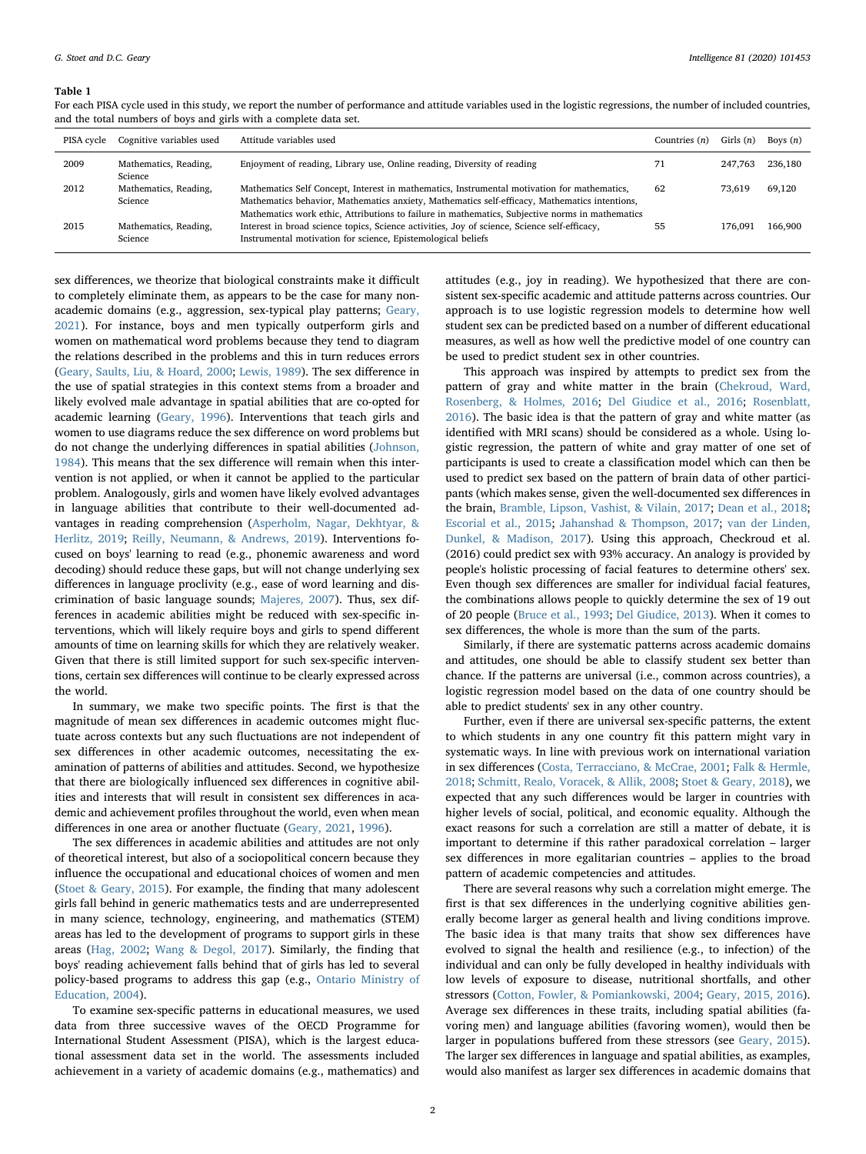#### <span id="page-1-0"></span>Table 1

For each PISA cycle used in this study, we report the number of performance and attitude variables used in the logistic regressions, the number of included countries, and the total numbers of boys and girls with a complete data set.

| PISA cycle | Cognitive variables used         | Attitude variables used                                                                                                                                                                                                                                                                         | Countries (n) | Girls $(n)$ | Boys $(n)$ |
|------------|----------------------------------|-------------------------------------------------------------------------------------------------------------------------------------------------------------------------------------------------------------------------------------------------------------------------------------------------|---------------|-------------|------------|
| 2009       | Mathematics, Reading,<br>Science | Enjoyment of reading, Library use, Online reading, Diversity of reading                                                                                                                                                                                                                         |               | 247.763     | 236,180    |
| 2012       | Mathematics, Reading,<br>Science | Mathematics Self Concept, Interest in mathematics, Instrumental motivation for mathematics,<br>Mathematics behavior, Mathematics anxiety, Mathematics self-efficacy, Mathematics intentions,<br>Mathematics work ethic, Attributions to failure in mathematics, Subjective norms in mathematics | 62            | 73.619      | 69,120     |
| 2015       | Mathematics, Reading,<br>Science | Interest in broad science topics, Science activities, Joy of science, Science self-efficacy,<br>Instrumental motivation for science, Epistemological beliefs                                                                                                                                    | 55            | 176.091     | 166,900    |

sex differences, we theorize that biological constraints make it difficult to completely eliminate them, as appears to be the case for many nonacademic domains (e.g., aggression, sex-typical play patterns; [Geary,](#page-8-1) [2021\)](#page-8-1). For instance, boys and men typically outperform girls and women on mathematical word problems because they tend to diagram the relations described in the problems and this in turn reduces errors ([Geary, Saults, Liu, & Hoard, 2000](#page-8-6); [Lewis, 1989](#page-9-7)). The sex difference in the use of spatial strategies in this context stems from a broader and likely evolved male advantage in spatial abilities that are co-opted for academic learning ([Geary, 1996\)](#page-8-7). Interventions that teach girls and women to use diagrams reduce the sex difference on word problems but do not change the underlying differences in spatial abilities [\(Johnson,](#page-9-8) [1984\)](#page-9-8). This means that the sex difference will remain when this intervention is not applied, or when it cannot be applied to the particular problem. Analogously, girls and women have likely evolved advantages in language abilities that contribute to their well-documented advantages in reading comprehension ([Asperholm, Nagar, Dekhtyar, &](#page-8-8) [Herlitz, 2019](#page-8-8); [Reilly, Neumann, & Andrews, 2019](#page-9-9)). Interventions focused on boys' learning to read (e.g., phonemic awareness and word decoding) should reduce these gaps, but will not change underlying sex differences in language proclivity (e.g., ease of word learning and discrimination of basic language sounds; [Majeres, 2007](#page-9-10)). Thus, sex differences in academic abilities might be reduced with sex-specific interventions, which will likely require boys and girls to spend different amounts of time on learning skills for which they are relatively weaker. Given that there is still limited support for such sex-specific interventions, certain sex differences will continue to be clearly expressed across the world.

In summary, we make two specific points. The first is that the magnitude of mean sex differences in academic outcomes might fluctuate across contexts but any such fluctuations are not independent of sex differences in other academic outcomes, necessitating the examination of patterns of abilities and attitudes. Second, we hypothesize that there are biologically influenced sex differences in cognitive abilities and interests that will result in consistent sex differences in academic and achievement profiles throughout the world, even when mean differences in one area or another fluctuate [\(Geary, 2021,](#page-8-1) [1996\)](#page-8-7).

The sex differences in academic abilities and attitudes are not only of theoretical interest, but also of a sociopolitical concern because they influence the occupational and educational choices of women and men ([Stoet & Geary, 2015](#page-9-11)). For example, the finding that many adolescent girls fall behind in generic mathematics tests and are underrepresented in many science, technology, engineering, and mathematics (STEM) areas has led to the development of programs to support girls in these areas ([Hag, 2002;](#page-8-9) [Wang & Degol, 2017](#page-9-12)). Similarly, the finding that boys' reading achievement falls behind that of girls has led to several policy-based programs to address this gap (e.g., [Ontario Ministry of](#page-9-13) [Education, 2004\)](#page-9-13).

To examine sex-specific patterns in educational measures, we used data from three successive waves of the OECD Programme for International Student Assessment (PISA), which is the largest educational assessment data set in the world. The assessments included achievement in a variety of academic domains (e.g., mathematics) and attitudes (e.g., joy in reading). We hypothesized that there are consistent sex-specific academic and attitude patterns across countries. Our approach is to use logistic regression models to determine how well student sex can be predicted based on a number of different educational measures, as well as how well the predictive model of one country can be used to predict student sex in other countries.

This approach was inspired by attempts to predict sex from the pattern of gray and white matter in the brain ([Chekroud, Ward,](#page-8-10) [Rosenberg, & Holmes, 2016;](#page-8-10) [Del Giudice et al., 2016](#page-8-11); [Rosenblatt,](#page-9-14) [2016\)](#page-9-14). The basic idea is that the pattern of gray and white matter (as identified with MRI scans) should be considered as a whole. Using logistic regression, the pattern of white and gray matter of one set of participants is used to create a classification model which can then be used to predict sex based on the pattern of brain data of other participants (which makes sense, given the well-documented sex differences in the brain, [Bramble, Lipson, Vashist, & Vilain, 2017;](#page-8-12) [Dean et al., 2018](#page-8-13); [Escorial et al., 2015;](#page-8-14) [Jahanshad & Thompson, 2017;](#page-9-15) [van der Linden,](#page-9-16) [Dunkel, & Madison, 2017\)](#page-9-16). Using this approach, Checkroud et al. (2016) could predict sex with 93% accuracy. An analogy is provided by people's holistic processing of facial features to determine others' sex. Even though sex differences are smaller for individual facial features, the combinations allows people to quickly determine the sex of 19 out of 20 people [\(Bruce et al., 1993](#page-8-15); [Del Giudice, 2013](#page-8-16)). When it comes to sex differences, the whole is more than the sum of the parts.

Similarly, if there are systematic patterns across academic domains and attitudes, one should be able to classify student sex better than chance. If the patterns are universal (i.e., common across countries), a logistic regression model based on the data of one country should be able to predict students' sex in any other country.

Further, even if there are universal sex-specific patterns, the extent to which students in any one country fit this pattern might vary in systematic ways. In line with previous work on international variation in sex differences ([Costa, Terracciano, & McCrae, 2001;](#page-8-17) [Falk & Hermle,](#page-8-18) [2018;](#page-8-18) [Schmitt, Realo, Voracek, & Allik, 2008;](#page-9-17) [Stoet & Geary, 2018](#page-9-18)), we expected that any such differences would be larger in countries with higher levels of social, political, and economic equality. Although the exact reasons for such a correlation are still a matter of debate, it is important to determine if this rather paradoxical correlation – larger sex differences in more egalitarian countries – applies to the broad pattern of academic competencies and attitudes.

There are several reasons why such a correlation might emerge. The first is that sex differences in the underlying cognitive abilities generally become larger as general health and living conditions improve. The basic idea is that many traits that show sex differences have evolved to signal the health and resilience (e.g., to infection) of the individual and can only be fully developed in healthy individuals with low levels of exposure to disease, nutritional shortfalls, and other stressors ([Cotton, Fowler, & Pomiankowski, 2004](#page-8-19); [Geary, 2015, 2016](#page-8-20)). Average sex differences in these traits, including spatial abilities (favoring men) and language abilities (favoring women), would then be larger in populations buffered from these stressors (see [Geary, 2015](#page-8-20)). The larger sex differences in language and spatial abilities, as examples, would also manifest as larger sex differences in academic domains that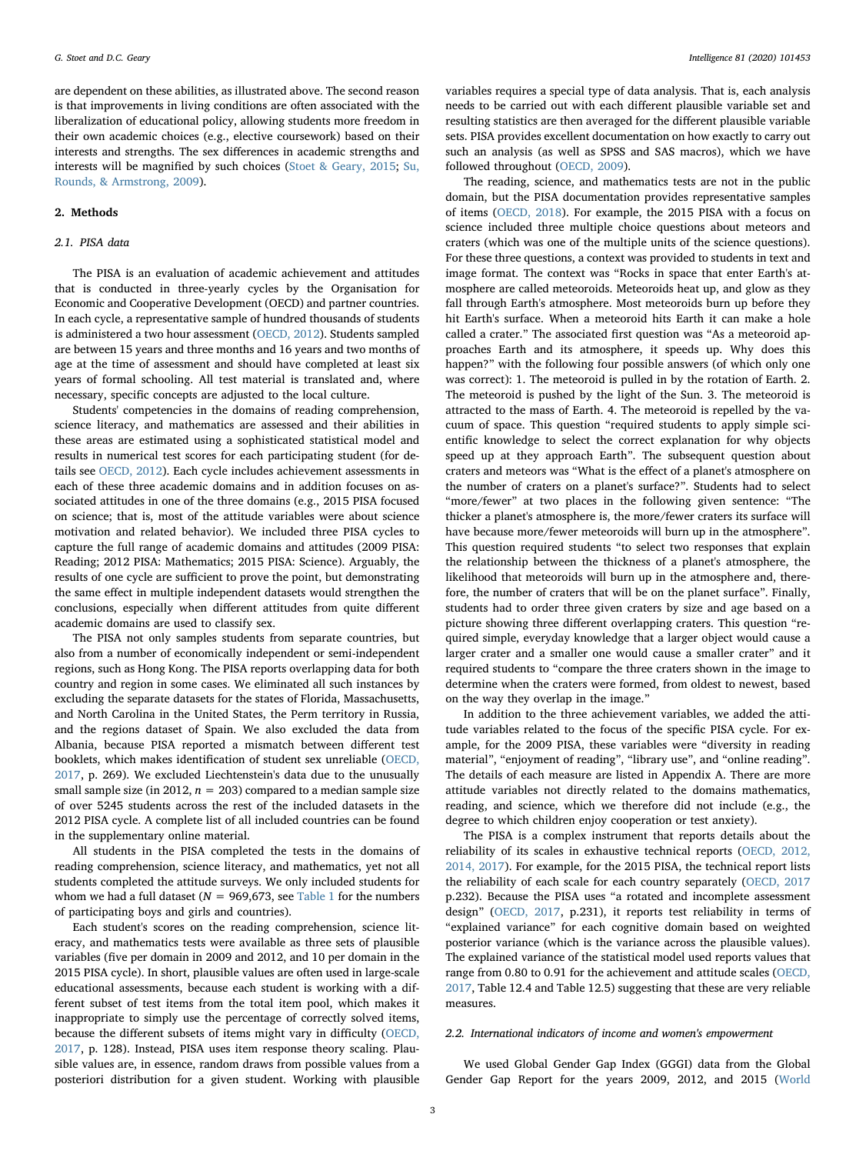are dependent on these abilities, as illustrated above. The second reason is that improvements in living conditions are often associated with the liberalization of educational policy, allowing students more freedom in their own academic choices (e.g., elective coursework) based on their interests and strengths. The sex differences in academic strengths and interests will be magnified by such choices ([Stoet & Geary, 2015](#page-9-11); [Su,](#page-9-19) [Rounds, & Armstrong, 2009](#page-9-19)).

# 2. Methods

# 2.1. PISA data

The PISA is an evaluation of academic achievement and attitudes that is conducted in three-yearly cycles by the Organisation for Economic and Cooperative Development (OECD) and partner countries. In each cycle, a representative sample of hundred thousands of students is administered a two hour assessment ([OECD, 2012\)](#page-9-20). Students sampled are between 15 years and three months and 16 years and two months of age at the time of assessment and should have completed at least six years of formal schooling. All test material is translated and, where necessary, specific concepts are adjusted to the local culture.

Students' competencies in the domains of reading comprehension, science literacy, and mathematics are assessed and their abilities in these areas are estimated using a sophisticated statistical model and results in numerical test scores for each participating student (for details see [OECD, 2012\)](#page-9-20). Each cycle includes achievement assessments in each of these three academic domains and in addition focuses on associated attitudes in one of the three domains (e.g., 2015 PISA focused on science; that is, most of the attitude variables were about science motivation and related behavior). We included three PISA cycles to capture the full range of academic domains and attitudes (2009 PISA: Reading; 2012 PISA: Mathematics; 2015 PISA: Science). Arguably, the results of one cycle are sufficient to prove the point, but demonstrating the same effect in multiple independent datasets would strengthen the conclusions, especially when different attitudes from quite different academic domains are used to classify sex.

The PISA not only samples students from separate countries, but also from a number of economically independent or semi-independent regions, such as Hong Kong. The PISA reports overlapping data for both country and region in some cases. We eliminated all such instances by excluding the separate datasets for the states of Florida, Massachusetts, and North Carolina in the United States, the Perm territory in Russia, and the regions dataset of Spain. We also excluded the data from Albania, because PISA reported a mismatch between different test booklets, which makes identification of student sex unreliable [\(OECD,](#page-9-21) [2017,](#page-9-21) p. 269). We excluded Liechtenstein's data due to the unusually small sample size (in 2012,  $n = 203$ ) compared to a median sample size of over 5245 students across the rest of the included datasets in the 2012 PISA cycle. A complete list of all included countries can be found in the supplementary online material.

All students in the PISA completed the tests in the domains of reading comprehension, science literacy, and mathematics, yet not all students completed the attitude surveys. We only included students for whom we had a full dataset ( $N = 969,673$ , see [Table 1](#page-1-0) for the numbers of participating boys and girls and countries).

Each student's scores on the reading comprehension, science literacy, and mathematics tests were available as three sets of plausible variables (five per domain in 2009 and 2012, and 10 per domain in the 2015 PISA cycle). In short, plausible values are often used in large-scale educational assessments, because each student is working with a different subset of test items from the total item pool, which makes it inappropriate to simply use the percentage of correctly solved items, because the different subsets of items might vary in difficulty [\(OECD,](#page-9-21) [2017,](#page-9-21) p. 128). Instead, PISA uses item response theory scaling. Plausible values are, in essence, random draws from possible values from a posteriori distribution for a given student. Working with plausible

variables requires a special type of data analysis. That is, each analysis needs to be carried out with each different plausible variable set and resulting statistics are then averaged for the different plausible variable sets. PISA provides excellent documentation on how exactly to carry out such an analysis (as well as SPSS and SAS macros), which we have followed throughout [\(OECD, 2009\)](#page-9-22).

The reading, science, and mathematics tests are not in the public domain, but the PISA documentation provides representative samples of items [\(OECD, 2018](#page-9-23)). For example, the 2015 PISA with a focus on science included three multiple choice questions about meteors and craters (which was one of the multiple units of the science questions). For these three questions, a context was provided to students in text and image format. The context was "Rocks in space that enter Earth's atmosphere are called meteoroids. Meteoroids heat up, and glow as they fall through Earth's atmosphere. Most meteoroids burn up before they hit Earth's surface. When a meteoroid hits Earth it can make a hole called a crater." The associated first question was "As a meteoroid approaches Earth and its atmosphere, it speeds up. Why does this happen?" with the following four possible answers (of which only one was correct): 1. The meteoroid is pulled in by the rotation of Earth. 2. The meteoroid is pushed by the light of the Sun. 3. The meteoroid is attracted to the mass of Earth. 4. The meteoroid is repelled by the vacuum of space. This question "required students to apply simple scientific knowledge to select the correct explanation for why objects speed up at they approach Earth". The subsequent question about craters and meteors was "What is the effect of a planet's atmosphere on the number of craters on a planet's surface?". Students had to select "more/fewer" at two places in the following given sentence: "The thicker a planet's atmosphere is, the more/fewer craters its surface will have because more/fewer meteoroids will burn up in the atmosphere". This question required students "to select two responses that explain the relationship between the thickness of a planet's atmosphere, the likelihood that meteoroids will burn up in the atmosphere and, therefore, the number of craters that will be on the planet surface". Finally, students had to order three given craters by size and age based on a picture showing three different overlapping craters. This question "required simple, everyday knowledge that a larger object would cause a larger crater and a smaller one would cause a smaller crater" and it required students to "compare the three craters shown in the image to determine when the craters were formed, from oldest to newest, based on the way they overlap in the image."

In addition to the three achievement variables, we added the attitude variables related to the focus of the specific PISA cycle. For example, for the 2009 PISA, these variables were "diversity in reading material", "enjoyment of reading", "library use", and "online reading". The details of each measure are listed in Appendix A. There are more attitude variables not directly related to the domains mathematics, reading, and science, which we therefore did not include (e.g., the degree to which children enjoy cooperation or test anxiety).

The PISA is a complex instrument that reports details about the reliability of its scales in exhaustive technical reports ([OECD, 2012,](#page-9-20) [2014, 2017](#page-9-20)). For example, for the 2015 PISA, the technical report lists the reliability of each scale for each country separately [\(OECD, 2017](#page-9-21) p.232). Because the PISA uses "a rotated and incomplete assessment design" [\(OECD, 2017,](#page-9-21) p.231), it reports test reliability in terms of "explained variance" for each cognitive domain based on weighted posterior variance (which is the variance across the plausible values). The explained variance of the statistical model used reports values that range from 0.80 to 0.91 for the achievement and attitude scales [\(OECD,](#page-9-21) [2017,](#page-9-21) Table 12.4 and Table 12.5) suggesting that these are very reliable measures.

#### 2.2. International indicators of income and women's empowerment

We used Global Gender Gap Index (GGGI) data from the Global Gender Gap Report for the years 2009, 2012, and 2015 ([World](#page-8-21)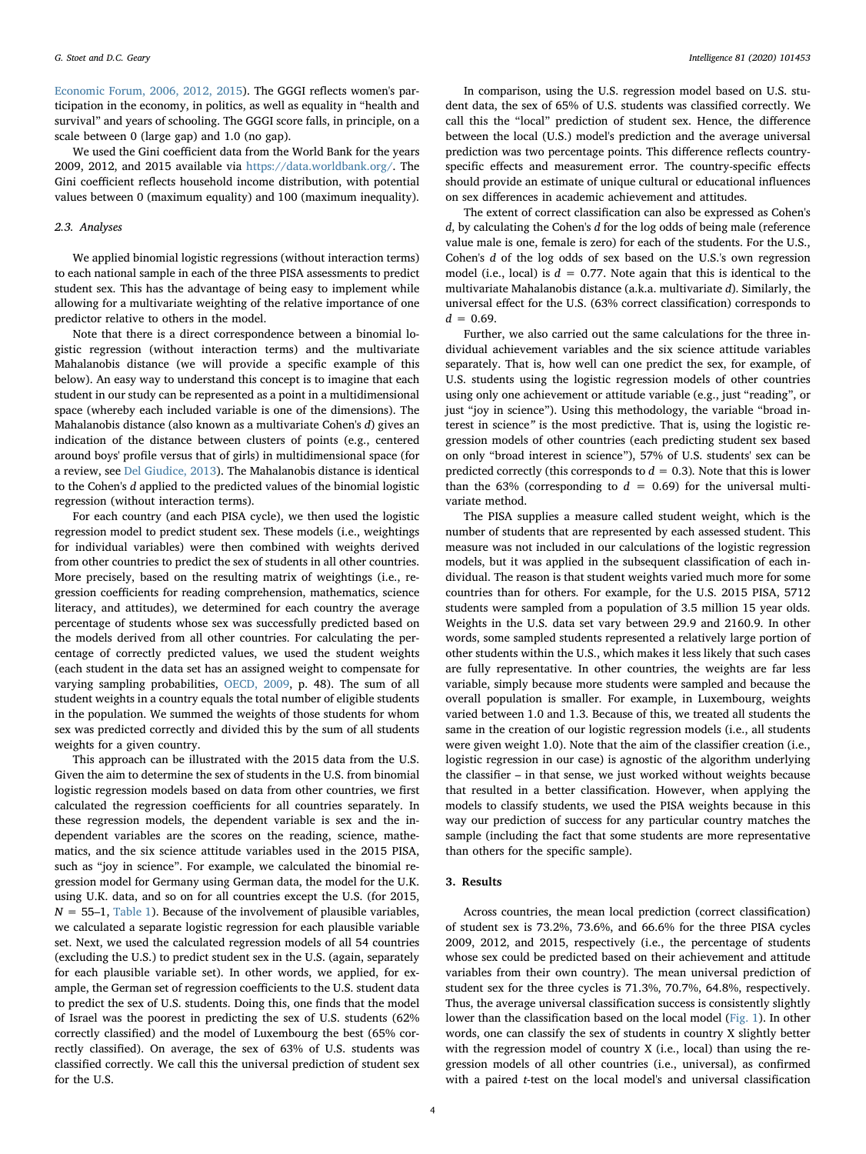[Economic Forum, 2006, 2012, 2015\)](#page-8-21). The GGGI reflects women's participation in the economy, in politics, as well as equality in "health and survival" and years of schooling. The GGGI score falls, in principle, on a scale between 0 (large gap) and 1.0 (no gap).

We used the Gini coefficient data from the World Bank for the years 2009, 2012, and 2015 available via <https://data.worldbank.org/>. The Gini coefficient reflects household income distribution, with potential values between 0 (maximum equality) and 100 (maximum inequality).

## 2.3. Analyses

We applied binomial logistic regressions (without interaction terms) to each national sample in each of the three PISA assessments to predict student sex. This has the advantage of being easy to implement while allowing for a multivariate weighting of the relative importance of one predictor relative to others in the model.

Note that there is a direct correspondence between a binomial logistic regression (without interaction terms) and the multivariate Mahalanobis distance (we will provide a specific example of this below). An easy way to understand this concept is to imagine that each student in our study can be represented as a point in a multidimensional space (whereby each included variable is one of the dimensions). The Mahalanobis distance (also known as a multivariate Cohen's d) gives an indication of the distance between clusters of points (e.g., centered around boys' profile versus that of girls) in multidimensional space (for a review, see [Del Giudice, 2013\)](#page-8-16). The Mahalanobis distance is identical to the Cohen's d applied to the predicted values of the binomial logistic regression (without interaction terms).

For each country (and each PISA cycle), we then used the logistic regression model to predict student sex. These models (i.e., weightings for individual variables) were then combined with weights derived from other countries to predict the sex of students in all other countries. More precisely, based on the resulting matrix of weightings (i.e., regression coefficients for reading comprehension, mathematics, science literacy, and attitudes), we determined for each country the average percentage of students whose sex was successfully predicted based on the models derived from all other countries. For calculating the percentage of correctly predicted values, we used the student weights (each student in the data set has an assigned weight to compensate for varying sampling probabilities, [OECD, 2009](#page-9-22), p. 48). The sum of all student weights in a country equals the total number of eligible students in the population. We summed the weights of those students for whom sex was predicted correctly and divided this by the sum of all students weights for a given country.

This approach can be illustrated with the 2015 data from the U.S. Given the aim to determine the sex of students in the U.S. from binomial logistic regression models based on data from other countries, we first calculated the regression coefficients for all countries separately. In these regression models, the dependent variable is sex and the independent variables are the scores on the reading, science, mathematics, and the six science attitude variables used in the 2015 PISA, such as "joy in science". For example, we calculated the binomial regression model for Germany using German data, the model for the U.K. using U.K. data, and so on for all countries except the U.S. (for 2015,  $N = 55-1$ , [Table 1](#page-1-0)). Because of the involvement of plausible variables, we calculated a separate logistic regression for each plausible variable set. Next, we used the calculated regression models of all 54 countries (excluding the U.S.) to predict student sex in the U.S. (again, separately for each plausible variable set). In other words, we applied, for example, the German set of regression coefficients to the U.S. student data to predict the sex of U.S. students. Doing this, one finds that the model of Israel was the poorest in predicting the sex of U.S. students (62% correctly classified) and the model of Luxembourg the best (65% correctly classified). On average, the sex of 63% of U.S. students was classified correctly. We call this the universal prediction of student sex for the U.S.

In comparison, using the U.S. regression model based on U.S. student data, the sex of 65% of U.S. students was classified correctly. We call this the "local" prediction of student sex. Hence, the difference between the local (U.S.) model's prediction and the average universal prediction was two percentage points. This difference reflects countryspecific effects and measurement error. The country-specific effects should provide an estimate of unique cultural or educational influences on sex differences in academic achievement and attitudes.

The extent of correct classification can also be expressed as Cohen's d, by calculating the Cohen's d for the log odds of being male (reference value male is one, female is zero) for each of the students. For the U.S., Cohen's d of the log odds of sex based on the U.S.'s own regression model (i.e., local) is  $d = 0.77$ . Note again that this is identical to the multivariate Mahalanobis distance (a.k.a. multivariate d). Similarly, the universal effect for the U.S. (63% correct classification) corresponds to  $d = 0.69$ .

Further, we also carried out the same calculations for the three individual achievement variables and the six science attitude variables separately. That is, how well can one predict the sex, for example, of U.S. students using the logistic regression models of other countries using only one achievement or attitude variable (e.g., just "reading", or just "joy in science"). Using this methodology, the variable "broad interest in science" is the most predictive. That is, using the logistic regression models of other countries (each predicting student sex based on only "broad interest in science"), 57% of U.S. students' sex can be predicted correctly (this corresponds to  $d = 0.3$ ). Note that this is lower than the 63% (corresponding to  $d = 0.69$ ) for the universal multivariate method.

The PISA supplies a measure called student weight, which is the number of students that are represented by each assessed student. This measure was not included in our calculations of the logistic regression models, but it was applied in the subsequent classification of each individual. The reason is that student weights varied much more for some countries than for others. For example, for the U.S. 2015 PISA, 5712 students were sampled from a population of 3.5 million 15 year olds. Weights in the U.S. data set vary between 29.9 and 2160.9. In other words, some sampled students represented a relatively large portion of other students within the U.S., which makes it less likely that such cases are fully representative. In other countries, the weights are far less variable, simply because more students were sampled and because the overall population is smaller. For example, in Luxembourg, weights varied between 1.0 and 1.3. Because of this, we treated all students the same in the creation of our logistic regression models (i.e., all students were given weight 1.0). Note that the aim of the classifier creation (i.e., logistic regression in our case) is agnostic of the algorithm underlying the classifier – in that sense, we just worked without weights because that resulted in a better classification. However, when applying the models to classify students, we used the PISA weights because in this way our prediction of success for any particular country matches the sample (including the fact that some students are more representative than others for the specific sample).

## 3. Results

Across countries, the mean local prediction (correct classification) of student sex is 73.2%, 73.6%, and 66.6% for the three PISA cycles 2009, 2012, and 2015, respectively (i.e., the percentage of students whose sex could be predicted based on their achievement and attitude variables from their own country). The mean universal prediction of student sex for the three cycles is 71.3%, 70.7%, 64.8%, respectively. Thus, the average universal classification success is consistently slightly lower than the classification based on the local model ([Fig. 1\)](#page-4-0). In other words, one can classify the sex of students in country X slightly better with the regression model of country X (i.e., local) than using the regression models of all other countries (i.e., universal), as confirmed with a paired t-test on the local model's and universal classification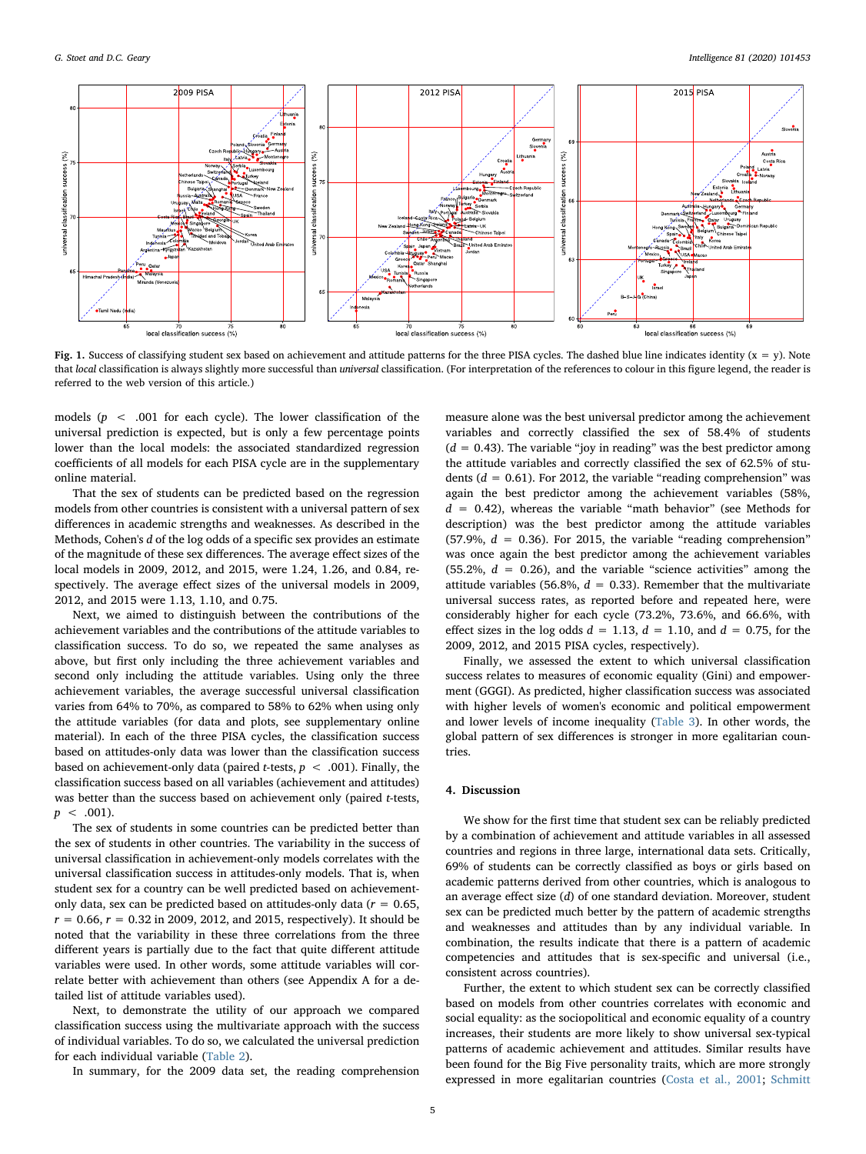<span id="page-4-0"></span>

Fig. 1. Success of classifying student sex based on achievement and attitude patterns for the three PISA cycles. The dashed blue line indicates identity (x = y). Note that local classification is always slightly more successful than universal classification. (For interpretation of the references to colour in this figure legend, the reader is referred to the web version of this article.)

models ( $p \sim .001$  for each cycle). The lower classification of the universal prediction is expected, but is only a few percentage points lower than the local models: the associated standardized regression coefficients of all models for each PISA cycle are in the supplementary online material.

That the sex of students can be predicted based on the regression models from other countries is consistent with a universal pattern of sex differences in academic strengths and weaknesses. As described in the Methods, Cohen's d of the log odds of a specific sex provides an estimate of the magnitude of these sex differences. The average effect sizes of the local models in 2009, 2012, and 2015, were 1.24, 1.26, and 0.84, respectively. The average effect sizes of the universal models in 2009, 2012, and 2015 were 1.13, 1.10, and 0.75.

Next, we aimed to distinguish between the contributions of the achievement variables and the contributions of the attitude variables to classification success. To do so, we repeated the same analyses as above, but first only including the three achievement variables and second only including the attitude variables. Using only the three achievement variables, the average successful universal classification varies from 64% to 70%, as compared to 58% to 62% when using only the attitude variables (for data and plots, see supplementary online material). In each of the three PISA cycles, the classification success based on attitudes-only data was lower than the classification success based on achievement-only data (paired *t*-tests,  $p < .001$ ). Finally, the classification success based on all variables (achievement and attitudes) was better than the success based on achievement only (paired t-tests,  $p \, < \, .001$ ).

The sex of students in some countries can be predicted better than the sex of students in other countries. The variability in the success of universal classification in achievement-only models correlates with the universal classification success in attitudes-only models. That is, when student sex for a country can be well predicted based on achievementonly data, sex can be predicted based on attitudes-only data ( $r = 0.65$ ,  $r = 0.66$ ,  $r = 0.32$  in 2009, 2012, and 2015, respectively). It should be noted that the variability in these three correlations from the three different years is partially due to the fact that quite different attitude variables were used. In other words, some attitude variables will correlate better with achievement than others (see Appendix A for a detailed list of attitude variables used).

Next, to demonstrate the utility of our approach we compared classification success using the multivariate approach with the success of individual variables. To do so, we calculated the universal prediction for each individual variable [\(Table 2\)](#page-5-1).

In summary, for the 2009 data set, the reading comprehension

measure alone was the best universal predictor among the achievement variables and correctly classified the sex of 58.4% of students  $(d = 0.43)$ . The variable "joy in reading" was the best predictor among the attitude variables and correctly classified the sex of 62.5% of students ( $d = 0.61$ ). For 2012, the variable "reading comprehension" was again the best predictor among the achievement variables (58%,  $d = 0.42$ ), whereas the variable "math behavior" (see Methods for description) was the best predictor among the attitude variables (57.9%,  $d = 0.36$ ). For 2015, the variable "reading comprehension" was once again the best predictor among the achievement variables (55.2%,  $d = 0.26$ ), and the variable "science activities" among the attitude variables (56.8%,  $d = 0.33$ ). Remember that the multivariate universal success rates, as reported before and repeated here, were considerably higher for each cycle (73.2%, 73.6%, and 66.6%, with effect sizes in the log odds  $d = 1.13$ ,  $d = 1.10$ , and  $d = 0.75$ , for the 2009, 2012, and 2015 PISA cycles, respectively).

Finally, we assessed the extent to which universal classification success relates to measures of economic equality (Gini) and empowerment (GGGI). As predicted, higher classification success was associated with higher levels of women's economic and political empowerment and lower levels of income inequality ([Table 3](#page-5-0)). In other words, the global pattern of sex differences is stronger in more egalitarian countries.

#### 4. Discussion

We show for the first time that student sex can be reliably predicted by a combination of achievement and attitude variables in all assessed countries and regions in three large, international data sets. Critically, 69% of students can be correctly classified as boys or girls based on academic patterns derived from other countries, which is analogous to an average effect size (d) of one standard deviation. Moreover, student sex can be predicted much better by the pattern of academic strengths and weaknesses and attitudes than by any individual variable. In combination, the results indicate that there is a pattern of academic competencies and attitudes that is sex-specific and universal (i.e., consistent across countries).

Further, the extent to which student sex can be correctly classified based on models from other countries correlates with economic and social equality: as the sociopolitical and economic equality of a country increases, their students are more likely to show universal sex-typical patterns of academic achievement and attitudes. Similar results have been found for the Big Five personality traits, which are more strongly expressed in more egalitarian countries [\(Costa et al., 2001;](#page-8-17) [Schmitt](#page-9-17)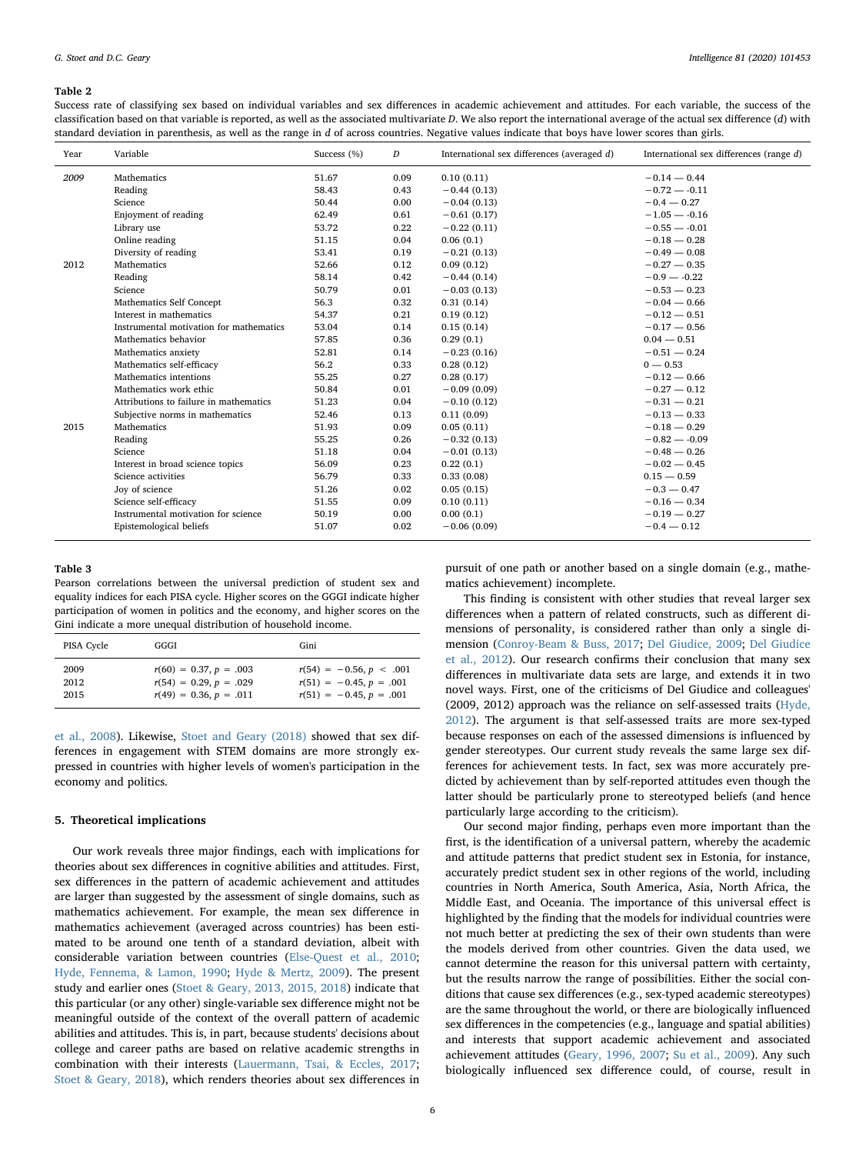#### <span id="page-5-1"></span>Table 2

Success rate of classifying sex based on individual variables and sex differences in academic achievement and attitudes. For each variable, the success of the classification based on that variable is reported, as well as the associated multivariate D. We also report the international average of the actual sex difference (d) with standard deviation in parenthesis, as well as the range in  $d$  of across countries. Negative values indicate that boys have lower scores than girls.

| Year | Variable                                | Success $(\% )$ | $\boldsymbol{D}$ | International sex differences (averaged d) | International sex differences (range d) |
|------|-----------------------------------------|-----------------|------------------|--------------------------------------------|-----------------------------------------|
| 2009 | Mathematics                             | 51.67           | 0.09             | 0.10(0.11)                                 | $-0.14 - 0.44$                          |
|      | Reading                                 | 58.43           | 0.43             | $-0.44(0.13)$                              | $-0.72 - 0.11$                          |
|      | Science                                 | 50.44           | 0.00             | $-0.04(0.13)$                              | $-0.4 - 0.27$                           |
|      | Enjoyment of reading                    | 62.49           | 0.61             | $-0.61(0.17)$                              | $-1.05 - 0.16$                          |
|      | Library use                             | 53.72           | 0.22             | $-0.22(0.11)$                              | $-0.55 - 0.01$                          |
|      | Online reading                          | 51.15           | 0.04             | 0.06(0.1)                                  | $-0.18 - 0.28$                          |
|      | Diversity of reading                    | 53.41           | 0.19             | $-0.21(0.13)$                              | $-0.49 - 0.08$                          |
| 2012 | Mathematics                             | 52.66           | 0.12             | 0.09(0.12)                                 | $-0.27 - 0.35$                          |
|      | Reading                                 | 58.14           | 0.42             | $-0.44(0.14)$                              | $-0.9 - 0.22$                           |
|      | Science                                 | 50.79           | 0.01             | $-0.03(0.13)$                              | $-0.53 - 0.23$                          |
|      | Mathematics Self Concept                | 56.3            | 0.32             | 0.31(0.14)                                 | $-0.04 - 0.66$                          |
|      | Interest in mathematics                 | 54.37           | 0.21             | 0.19(0.12)                                 | $-0.12 - 0.51$                          |
|      | Instrumental motivation for mathematics | 53.04           | 0.14             | 0.15(0.14)                                 | $-0.17 - 0.56$                          |
|      | Mathematics behavior                    | 57.85           | 0.36             | 0.29(0.1)                                  | $0.04 - 0.51$                           |
|      | Mathematics anxiety                     | 52.81           | 0.14             | $-0.23(0.16)$                              | $-0.51 - 0.24$                          |
|      | Mathematics self-efficacy               | 56.2            | 0.33             | 0.28(0.12)                                 | $0 - 0.53$                              |
|      | Mathematics intentions                  | 55.25           | 0.27             | 0.28(0.17)                                 | $-0.12 - 0.66$                          |
|      | Mathematics work ethic                  | 50.84           | 0.01             | $-0.09(0.09)$                              | $-0.27 - 0.12$                          |
|      | Attributions to failure in mathematics  | 51.23           | 0.04             | $-0.10(0.12)$                              | $-0.31 - 0.21$                          |
|      | Subjective norms in mathematics         | 52.46           | 0.13             | 0.11(0.09)                                 | $-0.13 - 0.33$                          |
| 2015 | <b>Mathematics</b>                      | 51.93           | 0.09             | 0.05(0.11)                                 | $-0.18 - 0.29$                          |
|      | Reading                                 | 55.25           | 0.26             | $-0.32(0.13)$                              | $-0.82 - 0.09$                          |
|      | Science                                 | 51.18           | 0.04             | $-0.01(0.13)$                              | $-0.48 - 0.26$                          |
|      | Interest in broad science topics        | 56.09           | 0.23             | 0.22(0.1)                                  | $-0.02 - 0.45$                          |
|      | Science activities                      | 56.79           | 0.33             | 0.33(0.08)                                 | $0.15 - 0.59$                           |
|      | Joy of science                          | 51.26           | 0.02             | 0.05(0.15)                                 | $-0.3 - 0.47$                           |
|      | Science self-efficacy                   | 51.55           | 0.09             | 0.10(0.11)                                 | $-0.16 - 0.34$                          |
|      | Instrumental motivation for science     | 50.19           | 0.00             | 0.00(0.1)                                  | $-0.19 - 0.27$                          |
|      | Epistemological beliefs                 | 51.07           | 0.02             | $-0.06(0.09)$                              | $-0.4 - 0.12$                           |
|      |                                         |                 |                  |                                            |                                         |

### <span id="page-5-0"></span>Table 3

Pearson correlations between the universal prediction of student sex and equality indices for each PISA cycle. Higher scores on the GGGI indicate higher participation of women in politics and the economy, and higher scores on the Gini indicate a more unequal distribution of household income.

| PISA Cycle | GGGI                     | Gini                      |
|------------|--------------------------|---------------------------|
| 2009       | $r(60) = 0.37, p = .003$ | $r(54) = -0.56, p < .001$ |
| 2012       | $r(54) = 0.29, p = .029$ | $r(51) = -0.45, p = .001$ |
| 2015       | $r(49) = 0.36, p = .011$ | $r(51) = -0.45, p = .001$ |

[et al., 2008\)](#page-9-17). Likewise, [Stoet and Geary \(2018\)](#page-9-18) showed that sex differences in engagement with STEM domains are more strongly expressed in countries with higher levels of women's participation in the economy and politics.

### 5. Theoretical implications

Our work reveals three major findings, each with implications for theories about sex differences in cognitive abilities and attitudes. First, sex differences in the pattern of academic achievement and attitudes are larger than suggested by the assessment of single domains, such as mathematics achievement. For example, the mean sex difference in mathematics achievement (averaged across countries) has been estimated to be around one tenth of a standard deviation, albeit with considerable variation between countries [\(Else-Quest et al., 2010](#page-8-5); [Hyde, Fennema, & Lamon, 1990](#page-9-24); [Hyde & Mertz, 2009](#page-9-25)). The present study and earlier ones [\(Stoet & Geary, 2013, 2015, 2018\)](#page-9-5) indicate that this particular (or any other) single-variable sex difference might not be meaningful outside of the context of the overall pattern of academic abilities and attitudes. This is, in part, because students' decisions about college and career paths are based on relative academic strengths in combination with their interests ([Lauermann, Tsai, & Eccles, 2017](#page-9-26); [Stoet & Geary, 2018\)](#page-9-18), which renders theories about sex differences in

pursuit of one path or another based on a single domain (e.g., mathematics achievement) incomplete.

This finding is consistent with other studies that reveal larger sex differences when a pattern of related constructs, such as different dimensions of personality, is considered rather than only a single dimension [\(Conroy-Beam & Buss, 2017](#page-8-22); [Del Giudice, 2009;](#page-8-2) [Del Giudice](#page-8-3) [et al., 2012\)](#page-8-3). Our research confirms their conclusion that many sex differences in multivariate data sets are large, and extends it in two novel ways. First, one of the criticisms of Del Giudice and colleagues' (2009, 2012) approach was the reliance on self-assessed traits ([Hyde,](#page-9-27) [2012\)](#page-9-27). The argument is that self-assessed traits are more sex-typed because responses on each of the assessed dimensions is influenced by gender stereotypes. Our current study reveals the same large sex differences for achievement tests. In fact, sex was more accurately predicted by achievement than by self-reported attitudes even though the latter should be particularly prone to stereotyped beliefs (and hence particularly large according to the criticism).

Our second major finding, perhaps even more important than the first, is the identification of a universal pattern, whereby the academic and attitude patterns that predict student sex in Estonia, for instance, accurately predict student sex in other regions of the world, including countries in North America, South America, Asia, North Africa, the Middle East, and Oceania. The importance of this universal effect is highlighted by the finding that the models for individual countries were not much better at predicting the sex of their own students than were the models derived from other countries. Given the data used, we cannot determine the reason for this universal pattern with certainty, but the results narrow the range of possibilities. Either the social conditions that cause sex differences (e.g., sex-typed academic stereotypes) are the same throughout the world, or there are biologically influenced sex differences in the competencies (e.g., language and spatial abilities) and interests that support academic achievement and associated achievement attitudes ([Geary, 1996, 2007](#page-8-7); [Su et al., 2009](#page-9-19)). Any such biologically influenced sex difference could, of course, result in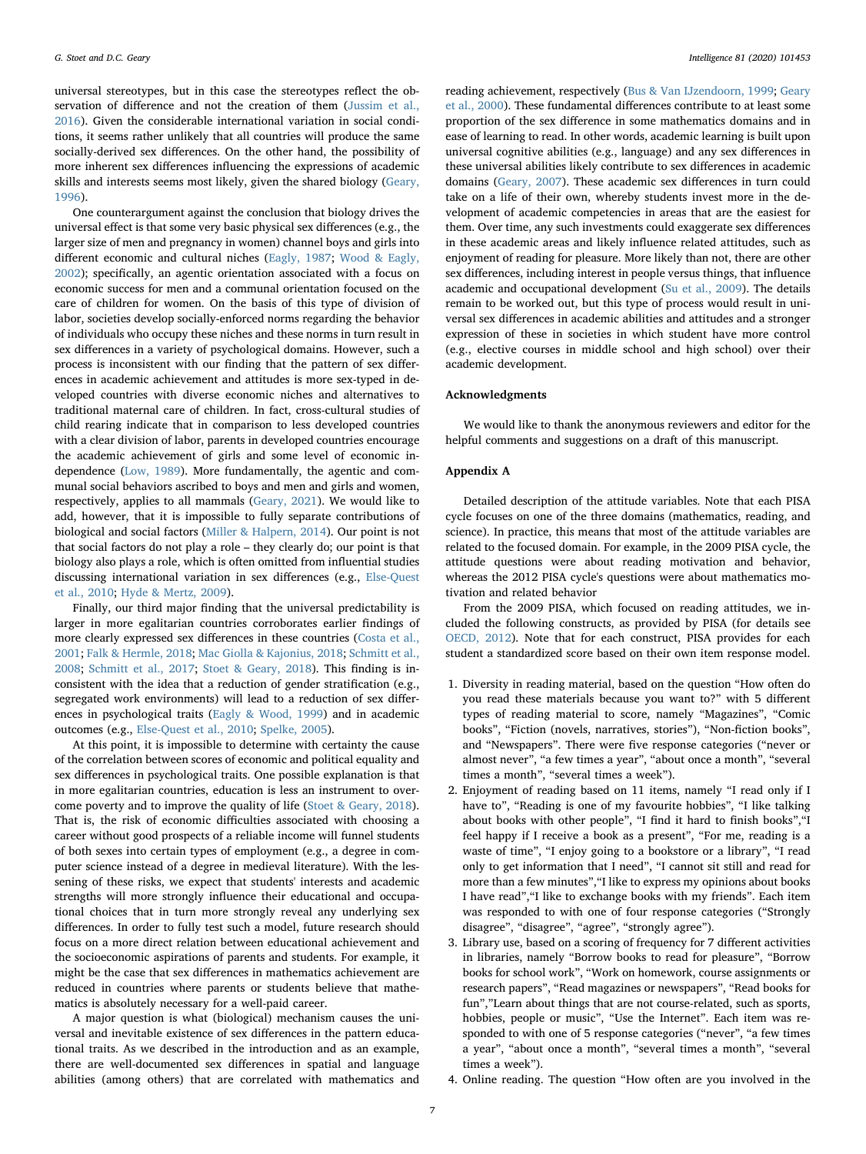universal stereotypes, but in this case the stereotypes reflect the observation of difference and not the creation of them [\(Jussim et al.,](#page-9-28) [2016\)](#page-9-28). Given the considerable international variation in social conditions, it seems rather unlikely that all countries will produce the same socially-derived sex differences. On the other hand, the possibility of more inherent sex differences influencing the expressions of academic skills and interests seems most likely, given the shared biology ([Geary,](#page-8-7) [1996\)](#page-8-7).

One counterargument against the conclusion that biology drives the universal effect is that some very basic physical sex differences (e.g., the larger size of men and pregnancy in women) channel boys and girls into different economic and cultural niches ([Eagly, 1987](#page-8-23); [Wood & Eagly,](#page-9-29) [2002\)](#page-9-29); specifically, an agentic orientation associated with a focus on economic success for men and a communal orientation focused on the care of children for women. On the basis of this type of division of labor, societies develop socially-enforced norms regarding the behavior of individuals who occupy these niches and these norms in turn result in sex differences in a variety of psychological domains. However, such a process is inconsistent with our finding that the pattern of sex differences in academic achievement and attitudes is more sex-typed in developed countries with diverse economic niches and alternatives to traditional maternal care of children. In fact, cross-cultural studies of child rearing indicate that in comparison to less developed countries with a clear division of labor, parents in developed countries encourage the academic achievement of girls and some level of economic independence ([Low, 1989](#page-9-30)). More fundamentally, the agentic and communal social behaviors ascribed to boys and men and girls and women, respectively, applies to all mammals [\(Geary, 2021](#page-8-1)). We would like to add, however, that it is impossible to fully separate contributions of biological and social factors ([Miller & Halpern, 2014\)](#page-9-2). Our point is not that social factors do not play a role – they clearly do; our point is that biology also plays a role, which is often omitted from influential studies discussing international variation in sex differences (e.g., [Else-Quest](#page-8-5) [et al., 2010](#page-8-5); [Hyde & Mertz, 2009\)](#page-9-25).

Finally, our third major finding that the universal predictability is larger in more egalitarian countries corroborates earlier findings of more clearly expressed sex differences in these countries [\(Costa et al.,](#page-8-17) [2001;](#page-8-17) [Falk & Hermle, 2018](#page-8-18); [Mac Giolla & Kajonius, 2018](#page-9-31); [Schmitt et al.,](#page-9-17) [2008;](#page-9-17) [Schmitt et al., 2017](#page-9-32); Stoet [& Geary, 2018](#page-9-18)). This finding is inconsistent with the idea that a reduction of gender stratification (e.g., segregated work environments) will lead to a reduction of sex differences in psychological traits [\(Eagly & Wood, 1999](#page-8-24)) and in academic outcomes (e.g., [Else-Quest et al., 2010](#page-8-5); [Spelke, 2005](#page-9-6)).

At this point, it is impossible to determine with certainty the cause of the correlation between scores of economic and political equality and sex differences in psychological traits. One possible explanation is that in more egalitarian countries, education is less an instrument to overcome poverty and to improve the quality of life ([Stoet & Geary, 2018](#page-9-18)). That is, the risk of economic difficulties associated with choosing a career without good prospects of a reliable income will funnel students of both sexes into certain types of employment (e.g., a degree in computer science instead of a degree in medieval literature). With the lessening of these risks, we expect that students' interests and academic strengths will more strongly influence their educational and occupational choices that in turn more strongly reveal any underlying sex differences. In order to fully test such a model, future research should focus on a more direct relation between educational achievement and the socioeconomic aspirations of parents and students. For example, it might be the case that sex differences in mathematics achievement are reduced in countries where parents or students believe that mathematics is absolutely necessary for a well-paid career.

A major question is what (biological) mechanism causes the universal and inevitable existence of sex differences in the pattern educational traits. As we described in the introduction and as an example, there are well-documented sex differences in spatial and language abilities (among others) that are correlated with mathematics and reading achievement, respectively ([Bus & Van IJzendoorn, 1999](#page-8-25); [Geary](#page-8-6) [et al., 2000\)](#page-8-6). These fundamental differences contribute to at least some proportion of the sex difference in some mathematics domains and in ease of learning to read. In other words, academic learning is built upon universal cognitive abilities (e.g., language) and any sex differences in these universal abilities likely contribute to sex differences in academic domains [\(Geary, 2007\)](#page-8-26). These academic sex differences in turn could take on a life of their own, whereby students invest more in the development of academic competencies in areas that are the easiest for them. Over time, any such investments could exaggerate sex differences in these academic areas and likely influence related attitudes, such as enjoyment of reading for pleasure. More likely than not, there are other sex differences, including interest in people versus things, that influence academic and occupational development ([Su et al., 2009](#page-9-19)). The details remain to be worked out, but this type of process would result in universal sex differences in academic abilities and attitudes and a stronger expression of these in societies in which student have more control (e.g., elective courses in middle school and high school) over their academic development.

#### Acknowledgments

We would like to thank the anonymous reviewers and editor for the helpful comments and suggestions on a draft of this manuscript.

### Appendix A

Detailed description of the attitude variables. Note that each PISA cycle focuses on one of the three domains (mathematics, reading, and science). In practice, this means that most of the attitude variables are related to the focused domain. For example, in the 2009 PISA cycle, the attitude questions were about reading motivation and behavior, whereas the 2012 PISA cycle's questions were about mathematics motivation and related behavior

From the 2009 PISA, which focused on reading attitudes, we included the following constructs, as provided by PISA (for details see [OECD, 2012\)](#page-9-20). Note that for each construct, PISA provides for each student a standardized score based on their own item response model.

- 1. Diversity in reading material, based on the question "How often do you read these materials because you want to?" with 5 different types of reading material to score, namely "Magazines", "Comic books", "Fiction (novels, narratives, stories"), "Non-fiction books", and "Newspapers". There were five response categories ("never or almost never", "a few times a year", "about once a month", "several times a month", "several times a week").
- 2. Enjoyment of reading based on 11 items, namely "I read only if I have to", "Reading is one of my favourite hobbies", "I like talking about books with other people", "I find it hard to finish books","I feel happy if I receive a book as a present", "For me, reading is a waste of time", "I enjoy going to a bookstore or a library", "I read only to get information that I need", "I cannot sit still and read for more than a few minutes","I like to express my opinions about books I have read","I like to exchange books with my friends". Each item was responded to with one of four response categories ("Strongly disagree", "disagree", "agree", "strongly agree").
- 3. Library use, based on a scoring of frequency for 7 different activities in libraries, namely "Borrow books to read for pleasure", "Borrow books for school work", "Work on homework, course assignments or research papers", "Read magazines or newspapers", "Read books for fun","Learn about things that are not course-related, such as sports, hobbies, people or music", "Use the Internet". Each item was responded to with one of 5 response categories ("never", "a few times a year", "about once a month", "several times a month", "several times a week").
- 4. Online reading. The question "How often are you involved in the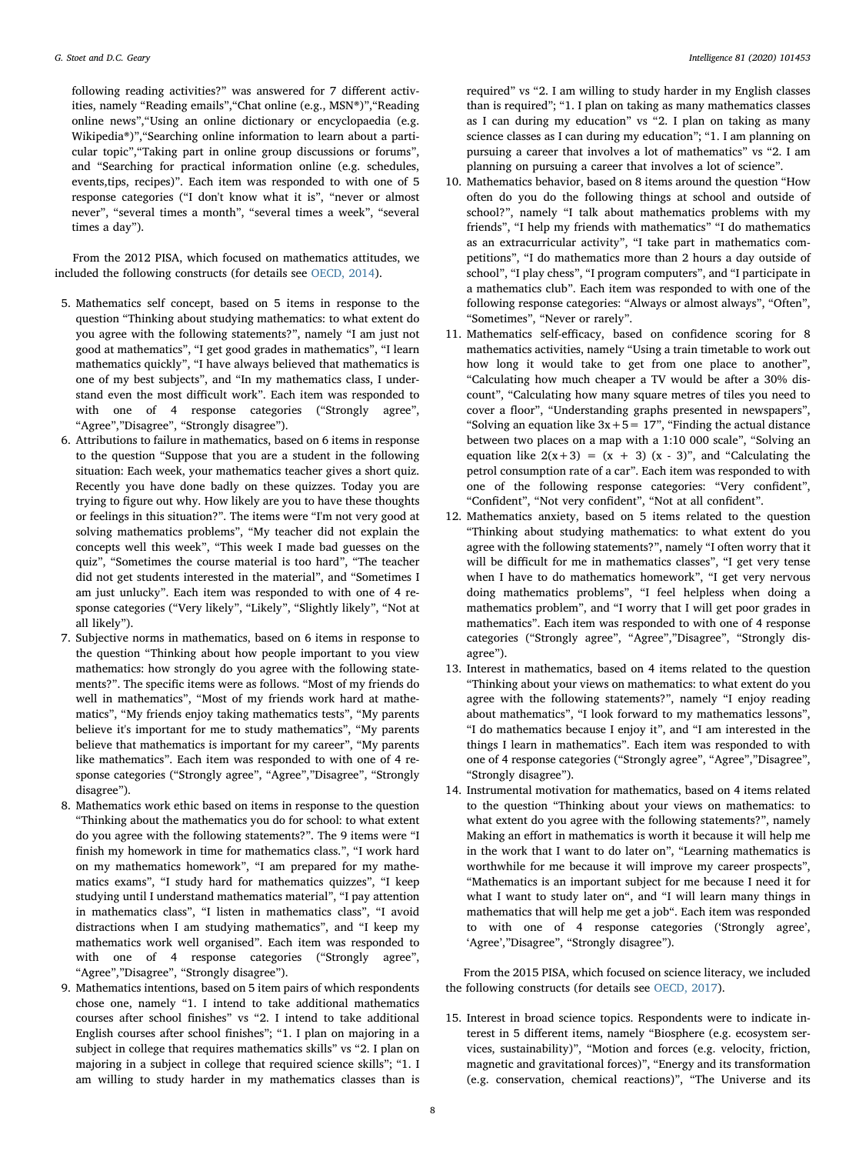following reading activities?" was answered for 7 different activities, namely "Reading emails","Chat online (e.g., MSN®)","Reading online news","Using an online dictionary or encyclopaedia (e.g. Wikipedia®)","Searching online information to learn about a particular topic","Taking part in online group discussions or forums", and "Searching for practical information online (e.g. schedules, events,tips, recipes)". Each item was responded to with one of 5 response categories ("I don't know what it is", "never or almost never", "several times a month", "several times a week", "several times a day").

From the 2012 PISA, which focused on mathematics attitudes, we included the following constructs (for details see [OECD, 2014\)](#page-9-33).

- 5. Mathematics self concept, based on 5 items in response to the question "Thinking about studying mathematics: to what extent do you agree with the following statements?", namely "I am just not good at mathematics", "I get good grades in mathematics", "I learn mathematics quickly", "I have always believed that mathematics is one of my best subjects", and "In my mathematics class, I understand even the most difficult work". Each item was responded to with one of 4 response categories ("Strongly agree", "Agree","Disagree", "Strongly disagree").
- 6. Attributions to failure in mathematics, based on 6 items in response to the question "Suppose that you are a student in the following situation: Each week, your mathematics teacher gives a short quiz. Recently you have done badly on these quizzes. Today you are trying to figure out why. How likely are you to have these thoughts or feelings in this situation?". The items were "I'm not very good at solving mathematics problems", "My teacher did not explain the concepts well this week", "This week I made bad guesses on the quiz", "Sometimes the course material is too hard", "The teacher did not get students interested in the material", and "Sometimes I am just unlucky". Each item was responded to with one of 4 response categories ("Very likely", "Likely", "Slightly likely", "Not at all likely").
- 7. Subjective norms in mathematics, based on 6 items in response to the question "Thinking about how people important to you view mathematics: how strongly do you agree with the following statements?". The specific items were as follows. "Most of my friends do well in mathematics", "Most of my friends work hard at mathematics", "My friends enjoy taking mathematics tests", "My parents believe it's important for me to study mathematics", "My parents believe that mathematics is important for my career", "My parents like mathematics". Each item was responded to with one of 4 response categories ("Strongly agree", "Agree","Disagree", "Strongly disagree").
- 8. Mathematics work ethic based on items in response to the question "Thinking about the mathematics you do for school: to what extent do you agree with the following statements?". The 9 items were "I finish my homework in time for mathematics class.", "I work hard on my mathematics homework", "I am prepared for my mathematics exams", "I study hard for mathematics quizzes", "I keep studying until I understand mathematics material", "I pay attention in mathematics class", "I listen in mathematics class", "I avoid distractions when I am studying mathematics", and "I keep my mathematics work well organised". Each item was responded to with one of 4 response categories ("Strongly agree", "Agree","Disagree", "Strongly disagree").
- 9. Mathematics intentions, based on 5 item pairs of which respondents chose one, namely "1. I intend to take additional mathematics courses after school finishes" vs "2. I intend to take additional English courses after school finishes"; "1. I plan on majoring in a subject in college that requires mathematics skills" vs "2. I plan on majoring in a subject in college that required science skills"; "1. I am willing to study harder in my mathematics classes than is

required" vs "2. I am willing to study harder in my English classes than is required"; "1. I plan on taking as many mathematics classes as I can during my education" vs "2. I plan on taking as many science classes as I can during my education"; "1. I am planning on pursuing a career that involves a lot of mathematics" vs "2. I am planning on pursuing a career that involves a lot of science".

- 10. Mathematics behavior, based on 8 items around the question "How often do you do the following things at school and outside of school?", namely "I talk about mathematics problems with my friends", "I help my friends with mathematics" "I do mathematics as an extracurricular activity", "I take part in mathematics competitions", "I do mathematics more than 2 hours a day outside of school", "I play chess", "I program computers", and "I participate in a mathematics club". Each item was responded to with one of the following response categories: "Always or almost always", "Often", "Sometimes", "Never or rarely".
- 11. Mathematics self-efficacy, based on confidence scoring for 8 mathematics activities, namely "Using a train timetable to work out how long it would take to get from one place to another", "Calculating how much cheaper a TV would be after a 30% discount", "Calculating how many square metres of tiles you need to cover a floor", "Understanding graphs presented in newspapers", "Solving an equation like  $3x+5= 17$ ", "Finding the actual distance" between two places on a map with a 1:10 000 scale", "Solving an equation like  $2(x+3) = (x + 3) (x - 3)$ , and "Calculating the petrol consumption rate of a car". Each item was responded to with one of the following response categories: "Very confident", "Confident", "Not very confident", "Not at all confident".
- 12. Mathematics anxiety, based on 5 items related to the question "Thinking about studying mathematics: to what extent do you agree with the following statements?", namely "I often worry that it will be difficult for me in mathematics classes", "I get very tense when I have to do mathematics homework", "I get very nervous doing mathematics problems", "I feel helpless when doing a mathematics problem", and "I worry that I will get poor grades in mathematics". Each item was responded to with one of 4 response categories ("Strongly agree", "Agree","Disagree", "Strongly disagree").
- 13. Interest in mathematics, based on 4 items related to the question "Thinking about your views on mathematics: to what extent do you agree with the following statements?", namely "I enjoy reading about mathematics", "I look forward to my mathematics lessons", "I do mathematics because I enjoy it", and "I am interested in the things I learn in mathematics". Each item was responded to with one of 4 response categories ("Strongly agree", "Agree","Disagree", "Strongly disagree").
- 14. Instrumental motivation for mathematics, based on 4 items related to the question "Thinking about your views on mathematics: to what extent do you agree with the following statements?", namely Making an effort in mathematics is worth it because it will help me in the work that I want to do later on", "Learning mathematics is worthwhile for me because it will improve my career prospects", "Mathematics is an important subject for me because I need it for what I want to study later on", and "I will learn many things in mathematics that will help me get a job". Each item was responded to with one of 4 response categories ('Strongly agree', 'Agree',"Disagree", "Strongly disagree").

From the 2015 PISA, which focused on science literacy, we included the following constructs (for details see [OECD, 2017\)](#page-9-21).

15. Interest in broad science topics. Respondents were to indicate interest in 5 different items, namely "Biosphere (e.g. ecosystem services, sustainability)", "Motion and forces (e.g. velocity, friction, magnetic and gravitational forces)", "Energy and its transformation (e.g. conservation, chemical reactions)", "The Universe and its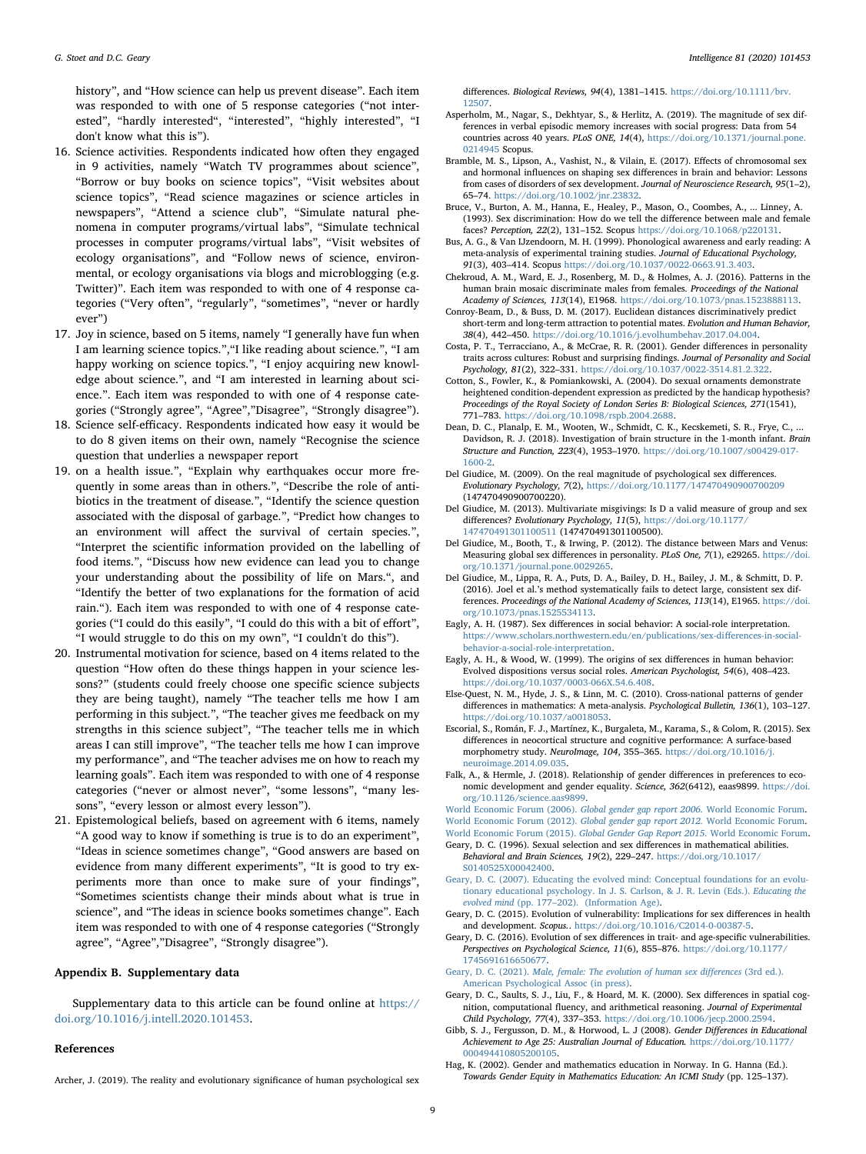history", and "How science can help us prevent disease". Each item was responded to with one of 5 response categories ("not interested", "hardly interested", "interested", "highly interested", "I don't know what this is").

- 16. Science activities. Respondents indicated how often they engaged in 9 activities, namely "Watch TV programmes about science", "Borrow or buy books on science topics", "Visit websites about science topics", "Read science magazines or science articles in newspapers", "Attend a science club", "Simulate natural phenomena in computer programs/virtual labs", "Simulate technical processes in computer programs/virtual labs", "Visit websites of ecology organisations", and "Follow news of science, environmental, or ecology organisations via blogs and microblogging (e.g. Twitter)". Each item was responded to with one of 4 response categories ("Very often", "regularly", "sometimes", "never or hardly ever")
- 17. Joy in science, based on 5 items, namely "I generally have fun when I am learning science topics.","I like reading about science.", "I am happy working on science topics.", "I enjoy acquiring new knowledge about science.", and "I am interested in learning about science.". Each item was responded to with one of 4 response categories ("Strongly agree", "Agree","Disagree", "Strongly disagree").
- 18. Science self-efficacy. Respondents indicated how easy it would be to do 8 given items on their own, namely "Recognise the science question that underlies a newspaper report
- 19. on a health issue.", "Explain why earthquakes occur more frequently in some areas than in others.", "Describe the role of antibiotics in the treatment of disease.", "Identify the science question associated with the disposal of garbage.", "Predict how changes to an environment will affect the survival of certain species.", "Interpret the scientific information provided on the labelling of food items.", "Discuss how new evidence can lead you to change your understanding about the possibility of life on Mars.", and "Identify the better of two explanations for the formation of acid rain."). Each item was responded to with one of 4 response categories ("I could do this easily", "I could do this with a bit of effort", "I would struggle to do this on my own", "I couldn't do this").
- 20. Instrumental motivation for science, based on 4 items related to the question "How often do these things happen in your science lessons?" (students could freely choose one specific science subjects they are being taught), namely "The teacher tells me how I am performing in this subject.", "The teacher gives me feedback on my strengths in this science subject", "The teacher tells me in which areas I can still improve", "The teacher tells me how I can improve my performance", and "The teacher advises me on how to reach my learning goals". Each item was responded to with one of 4 response categories ("never or almost never", "some lessons", "many lessons", "every lesson or almost every lesson").
- 21. Epistemological beliefs, based on agreement with 6 items, namely "A good way to know if something is true is to do an experiment", "Ideas in science sometimes change", "Good answers are based on evidence from many different experiments", "It is good to try experiments more than once to make sure of your findings", "Sometimes scientists change their minds about what is true in science", and "The ideas in science books sometimes change". Each item was responded to with one of 4 response categories ("Strongly agree", "Agree","Disagree", "Strongly disagree").

# Appendix B. Supplementary data

Supplementary data to this article can be found online at [https://](https://doi.org/10.1016/j.intell.2020.101453) [doi.org/10.1016/j.intell.2020.101453.](https://doi.org/10.1016/j.intell.2020.101453)

#### References

<span id="page-8-0"></span>Archer, J. (2019). The reality and evolutionary significance of human psychological sex

differences. Biological Reviews, 94(4), 1381–1415. [https://doi.org/10.1111/brv.](https://doi.org/10.1111/brv.12507) [12507.](https://doi.org/10.1111/brv.12507)

- <span id="page-8-8"></span>Asperholm, M., Nagar, S., Dekhtyar, S., & Herlitz, A. (2019). The magnitude of sex differences in verbal episodic memory increases with social progress: Data from 54 countries across 40 years. PLoS ONE, 14(4), [https://doi.org/10.1371/journal.pone.](https://doi.org/10.1371/journal.pone.0214945) [0214945](https://doi.org/10.1371/journal.pone.0214945) Scopus.
- <span id="page-8-12"></span>Bramble, M. S., Lipson, A., Vashist, N., & Vilain, E. (2017). Effects of chromosomal sex and hormonal influences on shaping sex differences in brain and behavior: Lessons from cases of disorders of sex development. Journal of Neuroscience Research, 95(1–2), 65–74. <https://doi.org/10.1002/jnr.23832>.
- <span id="page-8-15"></span>Bruce, V., Burton, A. M., Hanna, E., Healey, P., Mason, O., Coombes, A., ... Linney, A. (1993). Sex discrimination: How do we tell the difference between male and female faces? Perception, 22(2), 131–152. Scopus [https://doi.org/10.1068/p220131.](https://doi.org/10.1068/p220131)
- <span id="page-8-25"></span>Bus, A. G., & Van IJzendoorn, M. H. (1999). Phonological awareness and early reading: A meta-analysis of experimental training studies. Journal of Educational Psychology, 91(3), 403–414. Scopus [https://doi.org/10.1037/0022-0663.91.3.403.](https://doi.org/10.1037/0022-0663.91.3.403)
- <span id="page-8-10"></span>Chekroud, A. M., Ward, E. J., Rosenberg, M. D., & Holmes, A. J. (2016). Patterns in the human brain mosaic discriminate males from females. Proceedings of the National Academy of Sciences, 113(14), E1968. <https://doi.org/10.1073/pnas.1523888113>.
- <span id="page-8-22"></span>Conroy-Beam, D., & Buss, D. M. (2017). Euclidean distances discriminatively predict short-term and long-term attraction to potential mates. Evolution and Human Behavior, 38(4), 442–450. <https://doi.org/10.1016/j.evolhumbehav.2017.04.004>.
- <span id="page-8-17"></span>Costa, P. T., Terracciano, A., & McCrae, R. R. (2001). Gender differences in personality traits across cultures: Robust and surprising findings. Journal of Personality and Social Psychology, 81(2), 322–331. <https://doi.org/10.1037/0022-3514.81.2.322>.
- <span id="page-8-19"></span>Cotton, S., Fowler, K., & Pomiankowski, A. (2004). Do sexual ornaments demonstrate heightened condition-dependent expression as predicted by the handicap hypothesis? Proceedings of the Royal Society of London Series B: Biological Sciences, 271(1541), 771–783. <https://doi.org/10.1098/rspb.2004.2688>.
- <span id="page-8-13"></span>Dean, D. C., Planalp, E. M., Wooten, W., Schmidt, C. K., Kecskemeti, S. R., Frye, C., ... Davidson, R. J. (2018). Investigation of brain structure in the 1-month infant. Brain Structure and Function, 223(4), 1953–1970. [https://doi.org/10.1007/s00429-017-](https://doi.org/10.1007/s00429-017-1600-2) [1600-2.](https://doi.org/10.1007/s00429-017-1600-2)
- <span id="page-8-2"></span>Del Giudice, M. (2009). On the real magnitude of psychological sex differences. Evolutionary Psychology, 7(2), <https://doi.org/10.1177/147470490900700209> [\(147470490900700220\).](https://doi.org/10.1177/147470490900700209)
- <span id="page-8-16"></span>Del Giudice, M. (2013). Multivariate misgivings: Is D a valid measure of group and sex differences? Evolutionary Psychology, 11(5), https://doi.org/10.1177 147470491301100511 [\(147470491301100500\).](https://doi.org/10.1177/147470491301100511)
- <span id="page-8-3"></span>Del Giudice, M., Booth, T., & Irwing, P. (2012). The distance between Mars and Venus: Measuring global sex differences in personality. PLoS One, 7(1), e29265. [https://doi.](https://doi.org/10.1371/journal.pone.0029265) [org/10.1371/journal.pone.0029265](https://doi.org/10.1371/journal.pone.0029265).
- <span id="page-8-11"></span>Del Giudice, M., Lippa, R. A., Puts, D. A., Bailey, D. H., Bailey, J. M., & Schmitt, D. P. (2016). Joel et al.'s method systematically fails to detect large, consistent sex differences. Proceedings of the National Academy of Sciences, 113(14), E1965. [https://doi.](https://doi.org/10.1073/pnas.1525534113) [org/10.1073/pnas.1525534113](https://doi.org/10.1073/pnas.1525534113).
- <span id="page-8-23"></span>Eagly, A. H. (1987). Sex differences in social behavior: A social-role interpretation. [https://www.scholars.northwestern.edu/en/publications/sex-di](https://www.scholars.northwestern.edu/en/publications/sex-differences-in-social-behavior-a-social-role-interpretation)fferences-in-social[behavior-a-social-role-interpretation.](https://www.scholars.northwestern.edu/en/publications/sex-differences-in-social-behavior-a-social-role-interpretation)
- <span id="page-8-24"></span>Eagly, A. H., & Wood, W. (1999). The origins of sex differences in human behavior: Evolved dispositions versus social roles. American Psychologist, 54(6), 408–423. <https://doi.org/10.1037/0003-066X.54.6.408>.
- <span id="page-8-5"></span>Else-Quest, N. M., Hyde, J. S., & Linn, M. C. (2010). Cross-national patterns of gender differences in mathematics: A meta-analysis. Psychological Bulletin, 136(1), 103–127. [https://doi.org/10.1037/a0018053.](https://doi.org/10.1037/a0018053)
- <span id="page-8-14"></span>Escorial, S., Román, F. J., Martínez, K., Burgaleta, M., Karama, S., & Colom, R. (2015). Sex differences in neocortical structure and cognitive performance: A surface-based morphometry study. NeuroImage, 104, 355–365. [https://doi.org/10.1016/j.](https://doi.org/10.1016/j.neuroimage.2014.09.035) [neuroimage.2014.09.035.](https://doi.org/10.1016/j.neuroimage.2014.09.035)
- <span id="page-8-18"></span>Falk, A., & Hermle, J. (2018). Relationship of gender differences in preferences to economic development and gender equality. Science, 362(6412), eaas9899. [https://doi.](https://doi.org/10.1126/science.aas9899) [org/10.1126/science.aas9899.](https://doi.org/10.1126/science.aas9899)

<span id="page-8-21"></span>[World Economic Forum \(2006\).](http://refhub.elsevier.com/S0160-2896(20)30031-3/rf0100) Global gender gap report 2006. World Economic Forum. [World Economic Forum \(2012\).](http://refhub.elsevier.com/S0160-2896(20)30031-3/rf0105) Global gender gap report 2012. World Economic Forum. [World Economic Forum \(2015\).](http://refhub.elsevier.com/S0160-2896(20)30031-3/rf9005) Global Gender Gap Report 2015. World Economic Forum.

- <span id="page-8-7"></span>Geary, D. C. (1996). Sexual selection and sex differences in mathematical abilities. Behavioral and Brain Sciences, 19(2), 229–247. [https://doi.org/10.1017/](https://doi.org/10.1017/S0140525X00042400) [S0140525X00042400.](https://doi.org/10.1017/S0140525X00042400)
- <span id="page-8-26"></span>[Geary, D. C. \(2007\). Educating the evolved mind: Conceptual foundations for an evolu](http://refhub.elsevier.com/S0160-2896(20)30031-3/rf0115)[tionary educational psychology. In J. S. Carlson, & J. R. Levin \(Eds.\).](http://refhub.elsevier.com/S0160-2896(20)30031-3/rf0115) Educating the evolved mind (pp. 177–[202\). \(Information Age\).](http://refhub.elsevier.com/S0160-2896(20)30031-3/rf0115)
- <span id="page-8-20"></span>Geary, D. C. (2015). Evolution of vulnerability: Implications for sex differences in health and development. Scopus.. [https://doi.org/10.1016/C2014-0-00387-5.](https://doi.org/10.1016/C2014-0-00387-5)
- Geary, D. C. (2016). Evolution of sex differences in trait- and age-specific vulnerabilities. Perspectives on Psychological Science, 11(6), 855–876. [https://doi.org/10.1177/](https://doi.org/10.1177/1745691616650677) [1745691616650677.](https://doi.org/10.1177/1745691616650677)

<span id="page-8-1"></span>Geary, D. C. (2021). [Male, female: The evolution of human sex di](http://refhub.elsevier.com/S0160-2896(20)30031-3/rf0130)fferences (3rd ed.). [American Psychological Assoc \(in press\)](http://refhub.elsevier.com/S0160-2896(20)30031-3/rf0130).

- <span id="page-8-6"></span>Geary, D. C., Saults, S. J., Liu, F., & Hoard, M. K. (2000). Sex differences in spatial cognition, computational fluency, and arithmetical reasoning. Journal of Experimental Child Psychology, 77(4), 337–353. [https://doi.org/10.1006/jecp.2000.2594.](https://doi.org/10.1006/jecp.2000.2594)
- <span id="page-8-4"></span>Gibb, S. J., Fergusson, D. M., & Horwood, L. J (2008). Gender Differences in Educational Achievement to Age 25: Australian Journal of Education. [https://doi.org/10.1177/](https://doi.org/10.1177/000494410805200105) [000494410805200105](https://doi.org/10.1177/000494410805200105).
- <span id="page-8-9"></span>Hag, K. (2002). Gender and mathematics education in Norway. In G. Hanna (Ed.). Towards Gender Equity in Mathematics Education: An ICMI Study (pp. 125–137).